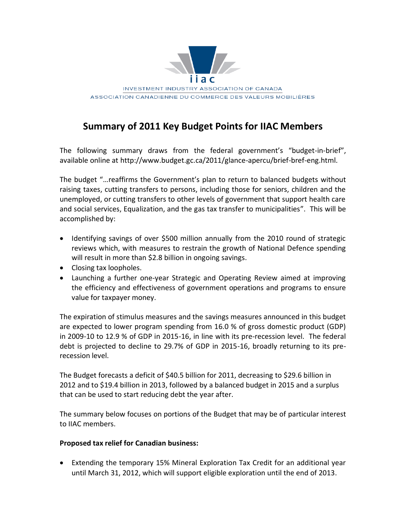

# **Summary of 2011 Key Budget Points for IIAC Members**

The following summary draws from the federal government's "budget-in-brief", available online at http://www.budget.gc.ca/2011/glance-apercu/brief-bref-eng.html.

The budget "... reaffirms the Government's plan to return to balanced budgets without raising taxes, cutting transfers to persons, including those for seniors, children and the unemployed, or cutting transfers to other levels of government that support health care and social services, Equalization, and the gas tax transfer to municipalities". This will be accomplished by:

- Identifying savings of over \$500 million annually from the 2010 round of strategic reviews which, with measures to restrain the growth of National Defence spending will result in more than \$2.8 billion in ongoing savings.
- $\bullet$  Closing tax loopholes.
- Launching a further one-year Strategic and Operating Review aimed at improving the efficiency and effectiveness of government operations and programs to ensure value for taxpayer money.

The expiration of stimulus measures and the savings measures announced in this budget are expected to lower program spending from  $16.0$  % of gross domestic product (GDP) in 2009-10 to 12.9 % of GDP in 2015-16, in line with its pre-recession level. The federal debt is projected to decline to 29.7% of GDP in 2015-16, broadly returning to its prerecession level.

The Budget forecasts a deficit of \$40.5 billion for 2011, decreasing to \$29.6 billion in 2012 and to \$19.4 billion in 2013, followed by a balanced budget in 2015 and a surplus that can be used to start reducing debt the year after.

The summary below focuses on portions of the Budget that may be of particular interest to IIAC members.

#### Proposed tax relief for Canadian business:

• Extending the temporary 15% Mineral Exploration Tax Credit for an additional year until March 31, 2012, which will support eligible exploration until the end of 2013.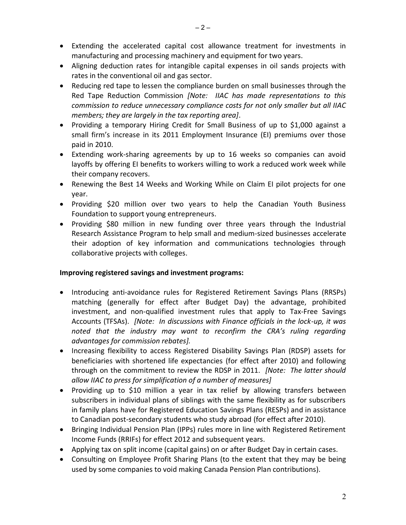- Extending the accelerated capital cost allowance treatment for investments in manufacturing and processing machinery and equipment for two years.
- Aligning deduction rates for intangible capital expenses in oil sands projects with rates in the conventional oil and gas sector.
- Reducing red tape to lessen the compliance burden on small businesses through the Red Tape Reduction Commission *[Note: IIAC has made representations to this* commission to reduce unnecessary compliance costs for not only smaller but all IIAC members; they are largely in the tax reporting area].
- Providing a temporary Hiring Credit for Small Business of up to \$1,000 against a small firm's increase in its 2011 Employment Insurance (EI) premiums over those paid in 2010.
- Extending work-sharing agreements by up to 16 weeks so companies can avoid layoffs by offering EI benefits to workers willing to work a reduced work week while their company recovers.
- Renewing the Best 14 Weeks and Working While on Claim El pilot projects for one vear.
- Providing \$20 million over two years to help the Canadian Youth Business Foundation to support young entrepreneurs.
- Providing \$80 million in new funding over three years through the Industrial Research Assistance Program to help small and medium-sized businesses accelerate their adoption of key information and communications technologies through collaborative projects with colleges.

# Improving registered savings and investment programs:

- Introducing anti-avoidance rules for Registered Retirement Savings Plans (RRSPs) matching (generally for effect after Budget Day) the advantage, prohibited investment, and non-qualified investment rules that apply to Tax-Free Savings Accounts (TFSAs). [Note: In discussions with Finance officials in the lock-up, it was noted that the industry may want to reconfirm the CRA's ruling regarding advantages for commission rebates].
- Increasing flexibility to access Registered Disability Savings Plan (RDSP) assets for beneficiaries with shortened life expectancies (for effect after 2010) and following through on the commitment to review the RDSP in 2011. [Note: The latter should allow IIAC to press for simplification of a number of measures]
- Providing up to \$10 million a year in tax relief by allowing transfers between subscribers in individual plans of siblings with the same flexibility as for subscribers in family plans have for Registered Education Savings Plans (RESPs) and in assistance to Canadian post-secondary students who study abroad (for effect after 2010).
- Bringing Individual Pension Plan (IPPs) rules more in line with Registered Retirement Income Funds (RRIFs) for effect 2012 and subsequent years.
- Applying tax on split income (capital gains) on or after Budget Day in certain cases.
- Consulting on Employee Profit Sharing Plans (to the extent that they may be being used by some companies to void making Canada Pension Plan contributions).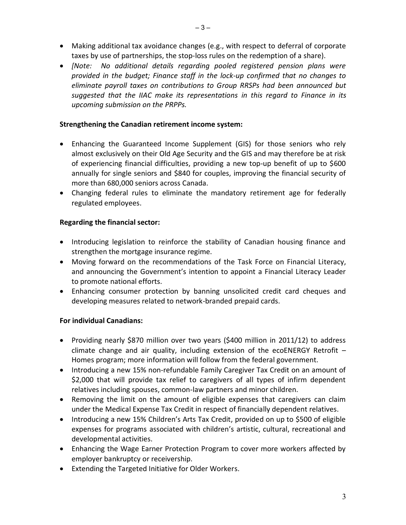- Making additional tax avoidance changes (e.g., with respect to deferral of corporate taxes by use of partnerships, the stop-loss rules on the redemption of a share).
- [Note: No additional details regarding pooled registered pension plans were provided in the budget; Finance staff in the lock-up confirmed that no changes to eliminate payroll taxes on contributions to Group RRSPs had been announced but suggested that the IIAC make its representations in this regard to Finance in its upcoming submission on the PRPPs.

# Strengthening the Canadian retirement income system:

- Enhancing the Guaranteed Income Supplement (GIS) for those seniors who rely almost exclusively on their Old Age Security and the GIS and may therefore be at risk of experiencing financial difficulties, providing a new top-up benefit of up to \$600 annually for single seniors and \$840 for couples, improving the financial security of more than 680,000 seniors across Canada.
- Changing federal rules to eliminate the mandatory retirement age for federally regulated employees.

# **Regarding the financial sector:**

- Introducing legislation to reinforce the stability of Canadian housing finance and strengthen the mortgage insurance regime.
- Moving forward on the recommendations of the Task Force on Financial Literacy, and announcing the Government's intention to appoint a Financial Literacy Leader to promote national efforts.
- Enhancing consumer protection by banning unsolicited credit card cheques and developing measures related to network-branded prepaid cards.

# **For individual Canadians:**

- Providing nearly \$870 million over two years (\$400 million in 2011/12) to address climate change and air quality, including extension of the ecoENERGY Retrofit  $-$ Homes program; more information will follow from the federal government.
- Introducing a new 15% non-refundable Family Caregiver Tax Credit on an amount of \$2,000 that will provide tax relief to caregivers of all types of infirm dependent relatives including spouses, common-law partners and minor children.
- Removing the limit on the amount of eligible expenses that caregivers can claim under the Medical Expense Tax Credit in respect of financially dependent relatives.
- Introducing a new 15% Children's Arts Tax Credit, provided on up to \$500 of eligible expenses for programs associated with children's artistic, cultural, recreational and developmental activities.
- Enhancing the Wage Earner Protection Program to cover more workers affected by employer bankruptcy or receivership.
- Extending the Targeted Initiative for Older Workers.